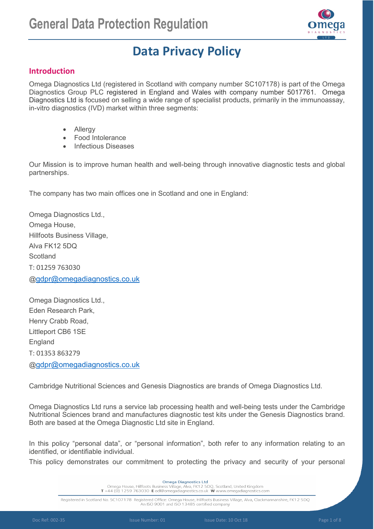

# **Data Privacy Policy**

# **Introduction**

Omega Diagnostics Ltd (registered in Scotland with company number SC107178) is part of the Omega Diagnostics Group PLC registered in England and Wales with company number 5017761. Omega Diagnostics Ltd is focused on selling a wide range of specialist products, primarily in the immunoassay, in-vitro diagnostics (IVD) market within three segments:

- Allergy
- Food Intolerance
- Infectious Diseases

Our Mission is to improve human health and well-being through innovative diagnostic tests and global partnerships.

The company has two main offices one in Scotland and one in England:

Omega Diagnostics Ltd., Omega House, Hillfoots Business Village, Alva FK12 5DQ **Scotland** T: 01259 763030 [@gdpr@omegadiagnostics.co.uk](mailto:gdpr@omegadiagnostics.co.uk)

Omega Diagnostics Ltd., Eden Research Park, Henry Crabb Road, Littleport CB6 1SE **England** T: 01353 863279 [@gdpr@omegadiagnostics.co.uk](mailto:gdpr@omegadiagnostics.co.uk)

Cambridge Nutritional Sciences and Genesis Diagnostics are brands of Omega Diagnostics Ltd.

Omega Diagnostics Ltd runs a service lab processing health and well-being tests under the Cambridge Nutritional Sciences brand and manufactures diagnostic test kits under the Genesis Diagnostics brand. Both are based at the Omega Diagnostic Ltd site in England.

In this policy "personal data", or "personal information", both refer to any information relating to an identified, or identifiable individual.

This policy demonstrates our commitment to protecting the privacy and security of your personal

**Omega Diagnostics Ltd** Omega House, Hillfoots Business Village, Alva, FK1 2 5DQ, Scotland, United Kingdom T +44 (0) 1259 763030 E odl@omegadiagnostics.co.uk W www.omegadiagnostics.com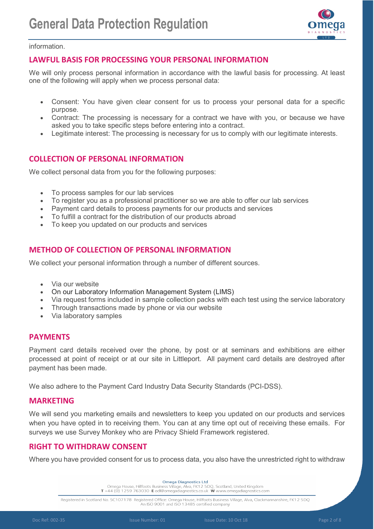

information.

# **LAWFUL BASIS FOR PROCESSING YOUR PERSONAL INFORMATION**

We will only process personal information in accordance with the lawful basis for processing. At least one of the following will apply when we process personal data:

- Consent: You have given clear consent for us to process your personal data for a specific purpose.
- Contract: The processing is necessary for a contract we have with you, or because we have asked you to take specific steps before entering into a contract.
- Legitimate interest: The processing is necessary for us to comply with our legitimate interests.

# **COLLECTION OF PERSONAL INFORMATION**

We collect personal data from you for the following purposes:

- To process samples for our lab services
- To register you as a professional practitioner so we are able to offer our lab services
- Payment card details to process payments for our products and services
- To fulfill a contract for the distribution of our products abroad
- To keep you updated on our products and services

# **METHOD OF COLLECTION OF PERSONAL INFORMATION**

We collect your personal information through a number of different sources.

- Via our website
- On our Laboratory Information Management System (LIMS)
- Via request forms included in sample collection packs with each test using the service laboratory
- Through transactions made by phone or via our website
- Via laboratory samples

# **PAYMENTS**

Payment card details received over the phone, by post or at seminars and exhibitions are either processed at point of receipt or at our site in Littleport. All payment card details are destroyed after payment has been made.

We also adhere to the Payment Card Industry Data Security Standards (PCI-DSS).

# **MARKETING**

We will send you marketing emails and newsletters to keep you updated on our products and services when you have opted in to receiving them. You can at any time opt out of receiving these emails. For surveys we use Survey Monkey who are Privacy Shield Framework registered.

# **RIGHT TO WITHDRAW CONSENT**

Where you have provided consent for us to process data, you also have the unrestricted right to withdraw

**Omega Diagnostics Ltd** Omega House, Hillfoots Business Village, Alva, FK12 5DQ, Scotland, United Kingdom T +44 (0) 1259 763030 E odl@omegadiagnostics.co.uk W www.omegadiagnostics.com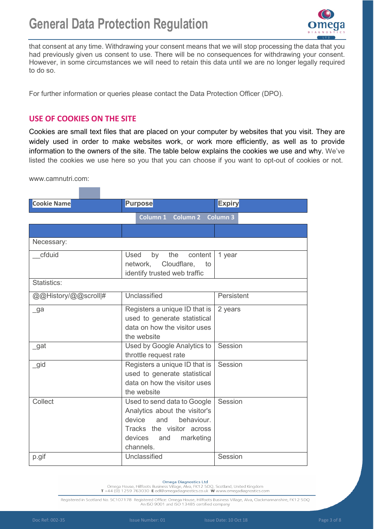

that consent at any time. Withdrawing your consent means that we will stop processing the data that you had previously given us consent to use. There will be no consequences for withdrawing your consent. However, in some circumstances we will need to retain this data until we are no longer legally required to do so.

For further information or queries please contact the Data Protection Officer (DPO).

# **USE OF COOKIES ON THE SITE**

Cookies are small text files that are placed on your computer by websites that you visit. They are widely used in order to make websites work, or work more efficiently, as well as to provide information to the owners of the site. The table below explains the cookies we use and why. We've listed the cookies we use here so you that you can choose if you want to opt-out of cookies or not.

www.camnutri.com:

| <b>Cookie Name</b>   | <b>Purpose</b>                                                                                                                                                              | <b>Expiry</b>      |
|----------------------|-----------------------------------------------------------------------------------------------------------------------------------------------------------------------------|--------------------|
|                      | Column 1<br><b>Column 2</b>                                                                                                                                                 | <b>Column 3</b>    |
|                      |                                                                                                                                                                             |                    |
| Necessary:           |                                                                                                                                                                             |                    |
| cfduid               | <b>Used</b><br>the<br>content<br>by<br>Cloudflare,<br>network,<br>to<br>identify trusted web traffic                                                                        | 1 year             |
| Statistics:          |                                                                                                                                                                             |                    |
| @@History/@@scroll # | Unclassified                                                                                                                                                                | Persistent         |
| $\mathsf{g}$ a       | Registers a unique ID that is<br>used to generate statistical<br>data on how the visitor uses<br>the website                                                                | 2 years            |
| $\_$ gat             | Used by Google Analytics to<br>throttle request rate                                                                                                                        | Session            |
| _gid                 | Registers a unique ID that is<br>used to generate statistical<br>data on how the visitor uses<br>the website                                                                | Session            |
| Collect<br>p.gif     | Used to send data to Google<br>Analytics about the visitor's<br>device and<br>behaviour.<br>Tracks the visitor across<br>devices and marketing<br>channels.<br>Unclassified | Session<br>Session |
|                      |                                                                                                                                                                             |                    |

#### **Omega Diagnostics Ltd**

Omega House, Hillfoots Business Village, Alva, FK12 5DQ, Scotland, United Kingdom T+44 (0) 1259 763030 E odl@omegadiagnostics.co.uk W www.omegadiagnostics.com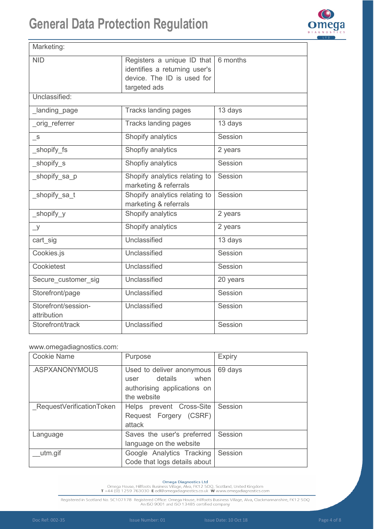

| Marketing:                         |                                                                                           |                      |
|------------------------------------|-------------------------------------------------------------------------------------------|----------------------|
| <b>NID</b>                         | Registers a unique ID that<br>identifies a returning user's<br>device. The ID is used for | 6 months             |
|                                    | targeted ads                                                                              |                      |
| Unclassified:                      |                                                                                           |                      |
| Landing_page                       | <b>Tracks landing pages</b>                                                               | 13 days              |
| orig referrer                      | <b>Tracks landing pages</b>                                                               | 13 days              |
| $\mathsf{S}$                       | Shopify analytics                                                                         | Session              |
| _shopify_fs                        | Shopfiy analytics                                                                         | 2 years              |
| shopify s                          | Shopfiy analytics                                                                         | Session              |
| _shopify_sa_p                      | Shopify analytics relating to<br>marketing & referrals                                    | Session              |
| shopify sa t                       | Shopify analytics relating to<br>marketing & referrals                                    | Session              |
| _shopify_y                         | Shopify analytics                                                                         | 2 years              |
| $y_{-}$                            | Shopify analytics                                                                         | 2 years              |
| cart_sig                           | Unclassified                                                                              | $\overline{1}3$ days |
| Cookies.js                         | Unclassified                                                                              | Session              |
| Cookietest                         | Unclassified                                                                              | Session              |
| Secure customer sig                | Unclassified                                                                              | 20 years             |
| Storefront/page                    | Unclassified                                                                              | Session              |
| Storefront/session-<br>attribution | Unclassified                                                                              | Session              |
| Storefront/track                   | Unclassified                                                                              | Session              |

### www.omegadiagnostics.com:

| <b>Cookie Name</b>       | Purpose                                                                                            | <b>Expiry</b> |
|--------------------------|----------------------------------------------------------------------------------------------------|---------------|
| .ASPXANONYMOUS           | Used to deliver anonymous<br>details<br>when<br>user<br>authorising applications on<br>the website | 69 days       |
| RequestVerificationToken | Helps prevent Cross-Site<br>Request Forgery (CSRF)<br>attack                                       | Session       |
| Language                 | Saves the user's preferred<br>language on the website                                              | Session       |
| utm.gif                  | Google Analytics Tracking<br>Code that logs details about                                          | Session       |

Omega Diagnostics Ltd<br>Omega House, Hillfoots Business Village, Alva, FK12 5DQ, Scotland, United Kingdom<br>T+44 (0) 1259 763030 E odl@omegadiagnostics.co.uk W www.omegadiagnostics.com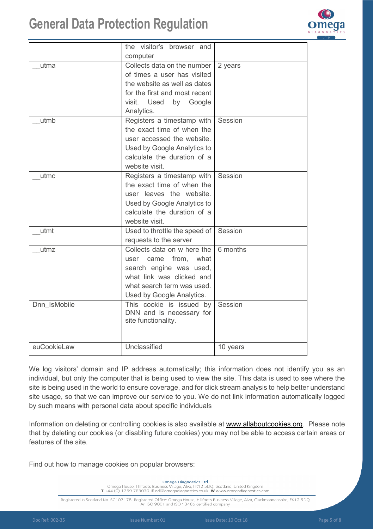

|              | the visitor's browser and                            |          |
|--------------|------------------------------------------------------|----------|
|              | computer                                             |          |
| utma         | Collects data on the number                          | 2 years  |
|              | of times a user has visited                          |          |
|              | the website as well as dates                         |          |
|              | for the first and most recent                        |          |
|              | visit.<br>Used<br>by Google                          |          |
|              | Analytics.                                           |          |
| utmb         | Registers a timestamp with                           | Session  |
|              | the exact time of when the                           |          |
|              | user accessed the website.                           |          |
|              | Used by Google Analytics to                          |          |
|              | calculate the duration of a                          |          |
|              | website visit.                                       |          |
| utmc         | Registers a timestamp with                           | Session  |
|              | the exact time of when the                           |          |
|              | user leaves the website.                             |          |
|              | Used by Google Analytics to                          |          |
|              | calculate the duration of a                          |          |
|              | website visit.                                       |          |
| utmt         | Used to throttle the speed of                        | Session  |
|              | requests to the server                               |          |
| utmz         | Collects data on w here the                          | 6 months |
|              | user came from, what                                 |          |
|              | search engine was used,                              |          |
|              | what link was clicked and                            |          |
|              | what search term was used.                           |          |
|              | Used by Google Analytics.                            |          |
| Dnn IsMobile | This cookie is issued by<br>DNN and is necessary for | Session  |
|              | site functionality.                                  |          |
|              |                                                      |          |
|              |                                                      |          |
| euCookieLaw  | Unclassified                                         | 10 years |

We log visitors' domain and IP address automatically; this information does not identify you as an individual, but only the computer that is being used to view the site. This data is used to see where the site is being used in the world to ensure coverage, and for click stream analysis to help better understand site usage, so that we can improve our service to you. We do not link information automatically logged by such means with personal data about specific individuals

Information on deleting or controlling cookies is also available at [www.allaboutcookies.org.](http://www.allaboutcookies.org/) Please note that by deleting our cookies (or disabling future cookies) you may not be able to access certain areas or features of the site.

Find out how to manage cookies on popular browsers:

**Omega Diagnostics Ltd** 

Omega House, Hillfoots Business Village, Alva, FK12 5DQ, Scotland, United Kingdom<br>T +44 (0) 1259 763030 E odl@omegadiagnostics.co.uk W www.omegadiagnostics.com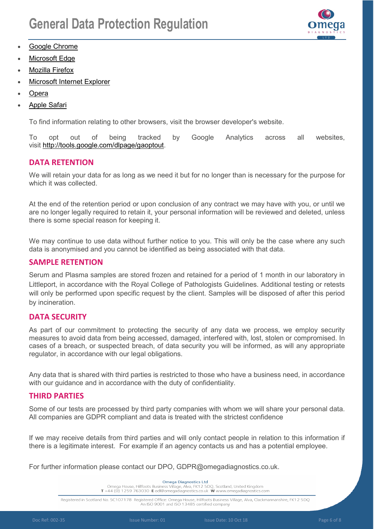

- [Google Chrome](https://support.google.com/accounts/answer/61416?co=GENIE.Platform%3DDesktop&hl=en)
- **[Microsoft Edge](https://privacy.microsoft.com/en-us/windows-10-microsoft-edge-and-privacy)**
- **[Mozilla Firefox](https://support.mozilla.org/en-US/kb/enable-and-disable-cookies-website-preferences)**
- [Microsoft Internet Explorer](https://support.microsoft.com/en-gb/help/17442/windows-internet-explorer-delete-manage-cookies)
- [Opera](https://www.opera.com/help/tutorials/security/privacy/)
- [Apple Safari](https://support.apple.com/kb/ph21411?locale=en_US)

To find information relating to other browsers, visit the browser developer's website.

To opt out of being tracked by Google Analytics across all websites, visit [http://tools.google.com/dlpage/gaoptout.](http://tools.google.com/dlpage/gaoptout)

# **DATA RETENTION**

We will retain your data for as long as we need it but for no longer than is necessary for the purpose for which it was collected.

At the end of the retention period or upon conclusion of any contract we may have with you, or until we are no longer legally required to retain it, your personal information will be reviewed and deleted, unless there is some special reason for keeping it.

We may continue to use data without further notice to you. This will only be the case where any such data is anonymised and you cannot be identified as being associated with that data.

## **SAMPLE RETENTION**

Serum and Plasma samples are stored frozen and retained for a period of 1 month in our laboratory in Littleport, in accordance with the Royal College of Pathologists Guidelines. Additional testing or retests will only be performed upon specific request by the client. Samples will be disposed of after this period by incineration.

# **DATA SECURITY**

As part of our commitment to protecting the security of any data we process, we employ security measures to avoid data from being accessed, damaged, interfered with, lost, stolen or compromised. In cases of a breach, or suspected breach, of data security you will be informed, as will any appropriate regulator, in accordance with our legal obligations.

Any data that is shared with third parties is restricted to those who have a business need, in accordance with our guidance and in accordance with the duty of confidentiality.

# **THIRD PARTIES**

Some of our tests are processed by third party companies with whom we will share your personal data. All companies are GDPR compliant and data is treated with the strictest confidence

If we may receive details from third parties and will only contact people in relation to this information if there is a legitimate interest. For example if an agency contacts us and has a potential employee.

For further information please contact our DPO, GDPR@omegadiagnostics.co.uk.

**Omega Diagnostics Ltd** Omega House, Hillfoots Business Village, Alva, FK12 5DQ, Scotland, United Kingdom T +44 (0) 1259 763030 E odl@omegadiagnostics.co.uk W www.omegadiagnostics.com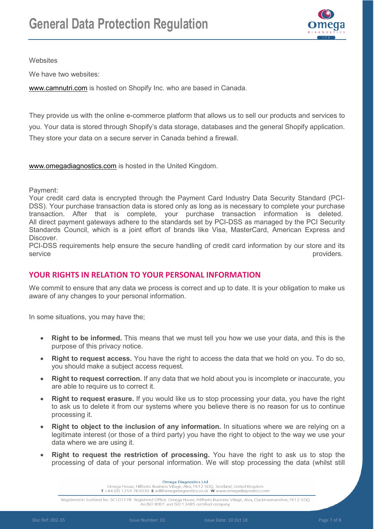

**Websites** 

We have two websites:

[www.camnutri.com](http://www.camnutri.comm/) is hosted on Shopify Inc. who are based in Canada.

They provide us with the online e-commerce platform that allows us to sell our products and services to you. Your data is stored through Shopify's data storage, databases and the general Shopify application. They store your data on a secure server in Canada behind a firewall.

[www.omegadiagnostics.com](http://www.omegadiagnostics.com/) is hosted in the United Kingdom.

Payment:

Your credit card data is encrypted through the Payment Card Industry Data Security Standard (PCI-DSS). Your purchase transaction data is stored only as long as is necessary to complete your purchase transaction. After that is complete, your purchase transaction information is deleted. All direct payment gateways adhere to the standards set by PCI-DSS as managed by the PCI Security Standards Council, which is a joint effort of brands like Visa, MasterCard, American Express and Discover.

PCI-DSS requirements help ensure the secure handling of credit card information by our store and its service providers.

# **YOUR RIGHTS IN RELATION TO YOUR PERSONAL INFORMATION**

We commit to ensure that any data we process is correct and up to date. It is your obligation to make us aware of any changes to your personal information.

In some situations, you may have the;

- **Right to be informed.** This means that we must tell you how we use your data, and this is the purpose of this privacy notice.
- **Right to request access.** You have the right to access the data that we hold on you. To do so, you should make a subject access request.
- **Right to request correction.** If any data that we hold about you is incomplete or inaccurate, you are able to require us to correct it.
- **Right to request erasure.** If you would like us to stop processing your data, you have the right to ask us to delete it from our systems where you believe there is no reason for us to continue processing it.
- **Right to object to the inclusion of any information.** In situations where we are relying on a legitimate interest (or those of a third party) you have the right to object to the way we use your data where we are using it.
- **Right to request the restriction of processing.** You have the right to ask us to stop the processing of data of your personal information. We will stop processing the data (whilst still

**Omega Diagnostics Ltd** Omega House, Hillfoots Business Village, Alva, FK12 5DQ, Scotland, United Kingdom<br>T +44 (0) 1259 763030 E odl@omegadiagnostics.co.uk W www.omegadiagnostics.com